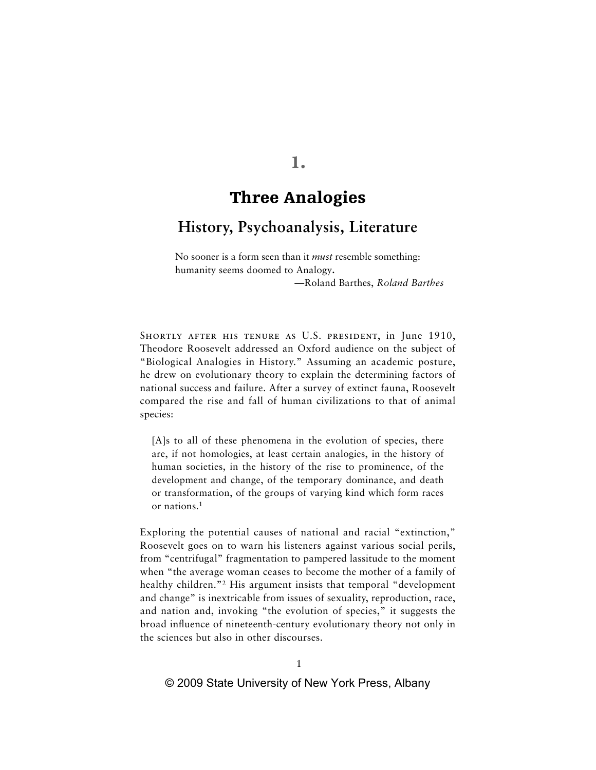# **1.**

# **Three Analogies**

## **History, Psychoanalysis, Literature**

No sooner is a form seen than it *must* resemble something: humanity seems doomed to Analogy**.**

—Roland Barthes, *Roland Barthes*

SHORTLY AFTER HIS TENURE AS U.S. PRESIDENT, in June 1910, Theodore Roosevelt addressed an Oxford audience on the subject of "Biological Analogies in History." Assuming an academic posture, he drew on evolutionary theory to explain the determining factors of national success and failure. After a survey of extinct fauna, Roosevelt compared the rise and fall of human civilizations to that of animal species:

[A]s to all of these phenomena in the evolution of species, there are, if not homologies, at least certain analogies, in the history of human societies, in the history of the rise to prominence, of the development and change, of the temporary dominance, and death or transformation, of the groups of varying kind which form races or nations.1

Exploring the potential causes of national and racial "extinction," Roosevelt goes on to warn his listeners against various social perils, from "centrifugal" fragmentation to pampered lassitude to the moment when "the average woman ceases to become the mother of a family of healthy children."<sup>2</sup> His argument insists that temporal "development" and change" is inextricable from issues of sexuality, reproduction, race, and nation and, invoking "the evolution of species," it suggests the broad influence of nineteenth-century evolutionary theory not only in the sciences but also in other discourses.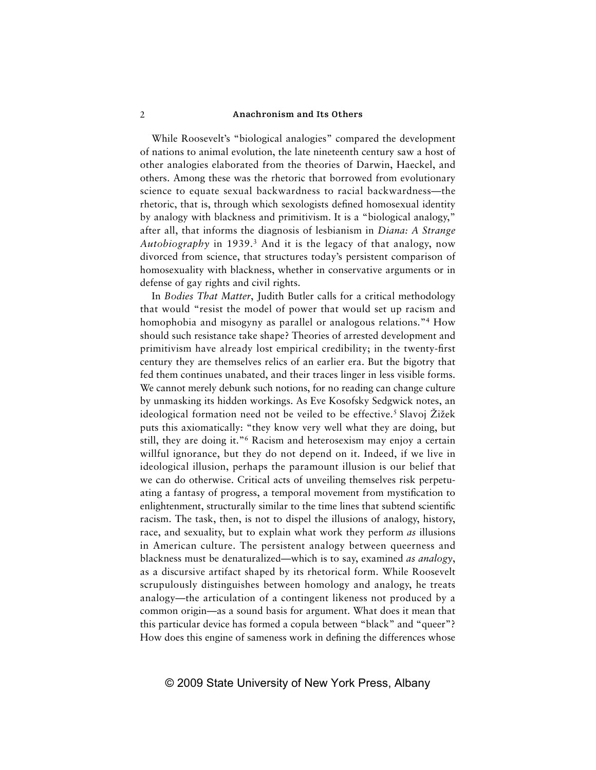While Roosevelt's "biological analogies" compared the development of nations to animal evolution, the late nineteenth century saw a host of other analogies elaborated from the theories of Darwin, Haeckel, and others. Among these was the rhetoric that borrowed from evolutionary science to equate sexual backwardness to racial backwardness—the rhetoric, that is, through which sexologists defined homosexual identity by analogy with blackness and primitivism. It is a "biological analogy," after all, that informs the diagnosis of lesbianism in *Diana: A Strange Autobiography* in 1939.3 And it is the legacy of that analogy, now divorced from science, that structures today's persistent comparison of homosexuality with blackness, whether in conservative arguments or in defense of gay rights and civil rights.

In *Bodies That Matter*, Judith Butler calls for a critical methodology that would "resist the model of power that would set up racism and homophobia and misogyny as parallel or analogous relations."4 How should such resistance take shape? Theories of arrested development and primitivism have already lost empirical credibility; in the twenty-first century they are themselves relics of an earlier era. But the bigotry that fed them continues unabated, and their traces linger in less visible forms. We cannot merely debunk such notions, for no reading can change culture by unmasking its hidden workings. As Eve Kosofsky Sedgwick notes, an ideological formation need not be veiled to be effective.<sup>5</sup> Slavoj Žižek puts this axiomatically: "they know very well what they are doing, but still, they are doing it."6 Racism and heterosexism may enjoy a certain willful ignorance, but they do not depend on it. Indeed, if we live in ideological illusion, perhaps the paramount illusion is our belief that we can do otherwise. Critical acts of unveiling themselves risk perpetuating a fantasy of progress, a temporal movement from mystification to enlightenment, structurally similar to the time lines that subtend scientific racism. The task, then, is not to dispel the illusions of analogy, history, race, and sexuality, but to explain what work they perform *as* illusions in American culture. The persistent analogy between queerness and blackness must be denaturalized—which is to say, examined *as analogy*, as a discursive artifact shaped by its rhetorical form. While Roosevelt scrupulously distinguishes between homology and analogy, he treats analogy—the articulation of a contingent likeness not produced by a common origin—as a sound basis for argument. What does it mean that this particular device has formed a copula between "black" and "queer"? How does this engine of sameness work in defining the differences whose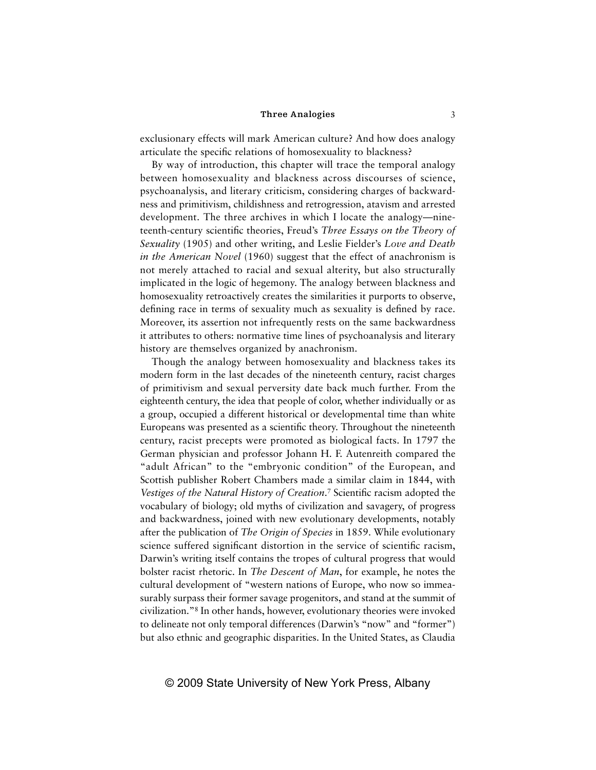exclusionary effects will mark American culture? And how does analogy articulate the specific relations of homosexuality to blackness?

By way of introduction, this chapter will trace the temporal analogy between homosexuality and blackness across discourses of science, psychoanalysis, and literary criticism, considering charges of backwardness and primitivism, childishness and retrogression, atavism and arrested development. The three archives in which I locate the analogy—nineteenth-century scientific theories, Freud's *Three Essays on the Theory of Sexuality* (1905) and other writing, and Leslie Fielder's *Love and Death in the American Novel* (1960) suggest that the effect of anachronism is not merely attached to racial and sexual alterity, but also structurally implicated in the logic of hegemony. The analogy between blackness and homosexuality retroactively creates the similarities it purports to observe, defining race in terms of sexuality much as sexuality is defined by race. Moreover, its assertion not infrequently rests on the same backwardness it attributes to others: normative time lines of psychoanalysis and literary history are themselves organized by anachronism.

Though the analogy between homosexuality and blackness takes its modern form in the last decades of the nineteenth century, racist charges of primitivism and sexual perversity date back much further. From the eighteenth century, the idea that people of color, whether individually or as a group, occupied a different historical or developmental time than white Europeans was presented as a scientific theory. Throughout the nineteenth century, racist precepts were promoted as biological facts. In 1797 the German physician and professor Johann H. F. Autenreith compared the "adult African" to the "embryonic condition" of the European, and Scottish publisher Robert Chambers made a similar claim in 1844, with Vestiges of the Natural History of Creation.<sup>7</sup> Scientific racism adopted the vocabulary of biology; old myths of civilization and savagery, of progress and backwardness, joined with new evolutionary developments, notably after the publication of *The Origin of Species* in 1859. While evolutionary science suffered significant distortion in the service of scientific racism, Darwin's writing itself contains the tropes of cultural progress that would bolster racist rhetoric. In *The Descent of Man*, for example, he notes the cultural development of "western nations of Europe, who now so immeasurably surpass their former savage progenitors, and stand at the summit of civilization."8 In other hands, however, evolutionary theories were invoked to delineate not only temporal differences (Darwin's "now" and "former") but also ethnic and geographic disparities. In the United States, as Claudia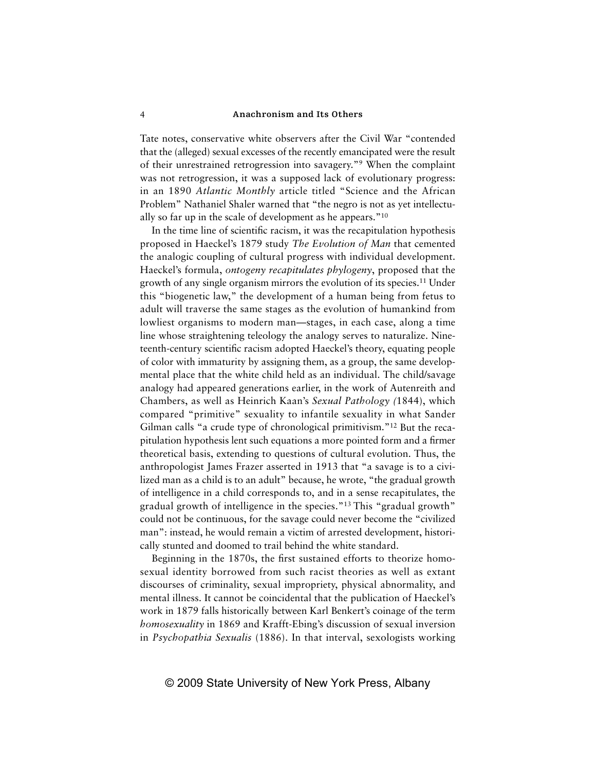Tate notes, conservative white observers after the Civil War "contended that the (alleged) sexual excesses of the recently emancipated were the result of their unrestrained retrogression into savagery."9 When the complaint was not retrogression, it was a supposed lack of evolutionary progress: in an 1890 *Atlantic Monthly* article titled "Science and the African Problem" Nathaniel Shaler warned that "the negro is not as yet intellectually so far up in the scale of development as he appears."10

In the time line of scientific racism, it was the recapitulation hypothesis proposed in Haeckel's 1879 study *The Evolution of Man* that cemented the analogic coupling of cultural progress with individual development. Haeckel's formula, *ontogeny recapitulates phylogeny*, proposed that the growth of any single organism mirrors the evolution of its species.11 Under this "biogenetic law," the development of a human being from fetus to adult will traverse the same stages as the evolution of humankind from lowliest organisms to modern man—stages, in each case, along a time line whose straightening teleology the analogy serves to naturalize. Nineteenth-century scientific racism adopted Haeckel's theory, equating people of color with immaturity by assigning them, as a group, the same developmental place that the white child held as an individual. The child/savage analogy had appeared generations earlier, in the work of Autenreith and Chambers, as well as Heinrich Kaan's *Sexual Pathology (*1844), which compared "primitive" sexuality to infantile sexuality in what Sander Gilman calls "a crude type of chronological primitivism."12 But the recapitulation hypothesis lent such equations a more pointed form and a firmer theoretical basis, extending to questions of cultural evolution. Thus, the anthropologist James Frazer asserted in 1913 that "a savage is to a civilized man as a child is to an adult" because, he wrote, "the gradual growth of intelligence in a child corresponds to, and in a sense recapitulates, the gradual growth of intelligence in the species."13 This "gradual growth" could not be continuous, for the savage could never become the "civilized man": instead, he would remain a victim of arrested development, historically stunted and doomed to trail behind the white standard.

Beginning in the 1870s, the first sustained efforts to theorize homosexual identity borrowed from such racist theories as well as extant discourses of criminality, sexual impropriety, physical abnormality, and mental illness. It cannot be coincidental that the publication of Haeckel's work in 1879 falls historically between Karl Benkert's coinage of the term *homosexuality* in 1869 and Krafft-Ebing's discussion of sexual inversion in *Psychopathia Sexualis* (1886). In that interval, sexologists working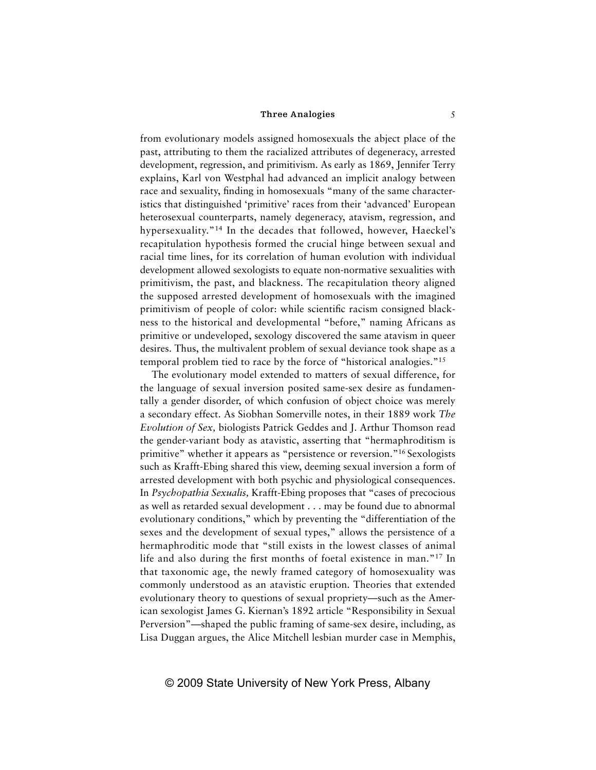from evolutionary models assigned homosexuals the abject place of the past, attributing to them the racialized attributes of degeneracy, arrested development, regression, and primitivism. As early as 1869, Jennifer Terry explains, Karl von Westphal had advanced an implicit analogy between race and sexuality, finding in homosexuals "many of the same characteristics that distinguished 'primitive' races from their 'advanced' European heterosexual counterparts, namely degeneracy, atavism, regression, and hypersexuality."14 In the decades that followed, however, Haeckel's recapitulation hypothesis formed the crucial hinge between sexual and racial time lines, for its correlation of human evolution with individual development allowed sexologists to equate non-normative sexualities with primitivism, the past, and blackness. The recapitulation theory aligned the supposed arrested development of homosexuals with the imagined primitivism of people of color: while scientific racism consigned blackness to the historical and developmental "before," naming Africans as primitive or undeveloped, sexology discovered the same atavism in queer desires. Thus, the multivalent problem of sexual deviance took shape as a temporal problem tied to race by the force of "historical analogies."15

The evolutionary model extended to matters of sexual difference, for the language of sexual inversion posited same-sex desire as fundamentally a gender disorder, of which confusion of object choice was merely a secondary effect. As Siobhan Somerville notes, in their 1889 work *The Evolution of Sex,* biologists Patrick Geddes and J. Arthur Thomson read the gender-variant body as atavistic, asserting that "hermaphroditism is primitive" whether it appears as "persistence or reversion."16 Sexologists such as Krafft-Ebing shared this view, deeming sexual inversion a form of arrested development with both psychic and physiological consequences. In *Psychopathia Sexualis,* Krafft-Ebing proposes that "cases of precocious as well as retarded sexual development . . . may be found due to abnormal evolutionary conditions," which by preventing the "differentiation of the sexes and the development of sexual types," allows the persistence of a hermaphroditic mode that "still exists in the lowest classes of animal life and also during the first months of foetal existence in man."<sup>17</sup> In that taxonomic age, the newly framed category of homosexuality was commonly understood as an atavistic eruption. Theories that extended evolutionary theory to questions of sexual propriety—such as the American sexologist James G. Kiernan's 1892 article "Responsibility in Sexual Perversion"—shaped the public framing of same-sex desire, including, as Lisa Duggan argues, the Alice Mitchell lesbian murder case in Memphis,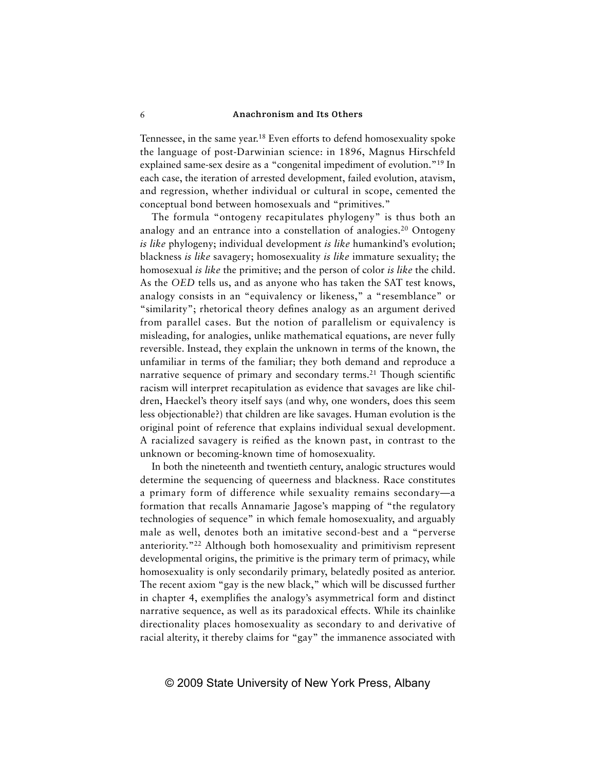Tennessee, in the same year.18 Even efforts to defend homosexuality spoke the language of post-Darwinian science: in 1896, Magnus Hirschfeld explained same-sex desire as a "congenital impediment of evolution."19 In each case, the iteration of arrested development, failed evolution, atavism, and regression, whether individual or cultural in scope, cemented the conceptual bond between homosexuals and "primitives."

The formula "ontogeny recapitulates phylogeny" is thus both an analogy and an entrance into a constellation of analogies.<sup>20</sup> Ontogeny *is like* phylogeny; individual development *is like* humankind's evolution; blackness *is like* savagery; homosexuality *is like* immature sexuality; the homosexual *is like* the primitive; and the person of color *is like* the child. As the *OED* tells us, and as anyone who has taken the SAT test knows, analogy consists in an "equivalency or likeness," a "resemblance" or "similarity"; rhetorical theory defines analogy as an argument derived from parallel cases. But the notion of parallelism or equivalency is misleading, for analogies, unlike mathematical equations, are never fully reversible. Instead, they explain the unknown in terms of the known, the unfamiliar in terms of the familiar; they both demand and reproduce a narrative sequence of primary and secondary terms.<sup>21</sup> Though scientific racism will interpret recapitulation as evidence that savages are like children, Haeckel's theory itself says (and why, one wonders, does this seem less objectionable?) that children are like savages. Human evolution is the original point of reference that explains individual sexual development. A racialized savagery is reified as the known past, in contrast to the unknown or becoming-known time of homosexuality.

In both the nineteenth and twentieth century, analogic structures would determine the sequencing of queerness and blackness. Race constitutes a primary form of difference while sexuality remains secondary—a formation that recalls Annamarie Jagose's mapping of "the regulatory technologies of sequence" in which female homosexuality, and arguably male as well, denotes both an imitative second-best and a "perverse anteriority."22 Although both homosexuality and primitivism represent developmental origins, the primitive is the primary term of primacy, while homosexuality is only secondarily primary, belatedly posited as anterior. The recent axiom "gay is the new black," which will be discussed further in chapter 4, exemplifies the analogy's asymmetrical form and distinct narrative sequence, as well as its paradoxical effects. While its chainlike directionality places homosexuality as secondary to and derivative of racial alterity, it thereby claims for "gay" the immanence associated with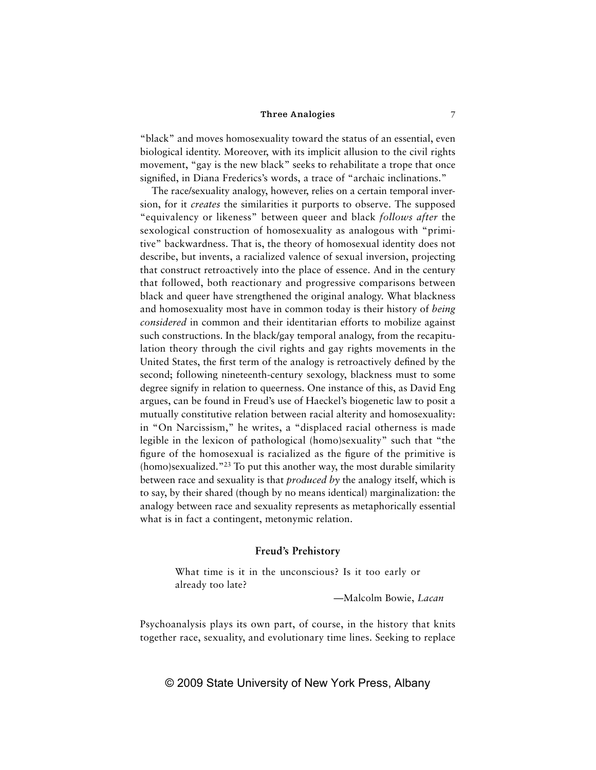"black" and moves homosexuality toward the status of an essential, even biological identity. Moreover, with its implicit allusion to the civil rights movement, "gay is the new black" seeks to rehabilitate a trope that once signified, in Diana Frederics's words, a trace of "archaic inclinations."

The race/sexuality analogy, however, relies on a certain temporal inversion, for it *creates* the similarities it purports to observe. The supposed "equivalency or likeness" between queer and black *follows after* the sexological construction of homosexuality as analogous with "primitive" backwardness. That is, the theory of homosexual identity does not describe, but invents, a racialized valence of sexual inversion, projecting that construct retroactively into the place of essence. And in the century that followed, both reactionary and progressive comparisons between black and queer have strengthened the original analogy. What blackness and homosexuality most have in common today is their history of *being considered* in common and their identitarian efforts to mobilize against such constructions. In the black/gay temporal analogy, from the recapitulation theory through the civil rights and gay rights movements in the United States, the first term of the analogy is retroactively defined by the second; following nineteenth-century sexology, blackness must to some degree signify in relation to queerness. One instance of this, as David Eng argues, can be found in Freud's use of Haeckel's biogenetic law to posit a mutually constitutive relation between racial alterity and homosexuality: in "On Narcissism," he writes, a "displaced racial otherness is made legible in the lexicon of pathological (homo)sexuality" such that "the figure of the homosexual is racialized as the figure of the primitive is (homo)sexualized."23 To put this another way, the most durable similarity between race and sexuality is that *produced by* the analogy itself, which is to say, by their shared (though by no means identical) marginalization: the analogy between race and sexuality represents as metaphorically essential what is in fact a contingent, metonymic relation.

### **Freud's Prehistory**

What time is it in the unconscious? Is it too early or already too late?

—Malcolm Bowie, *Lacan*

Psychoanalysis plays its own part, of course, in the history that knits together race, sexuality, and evolutionary time lines. Seeking to replace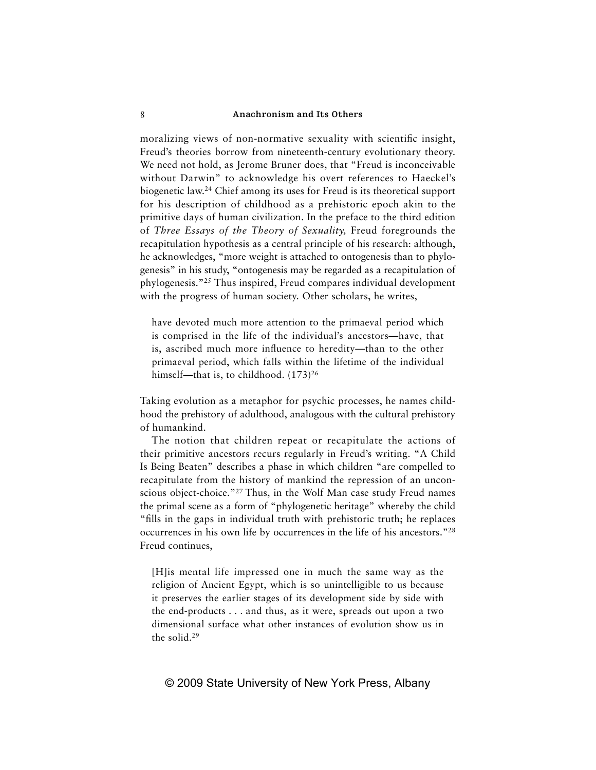moralizing views of non-normative sexuality with scientific insight, Freud's theories borrow from nineteenth-century evolutionary theory. We need not hold, as Jerome Bruner does, that "Freud is inconceivable without Darwin" to acknowledge his overt references to Haeckel's biogenetic law.24 Chief among its uses for Freud is its theoretical support for his description of childhood as a prehistoric epoch akin to the primitive days of human civilization. In the preface to the third edition of *Three Essays of the Theory of Sexuality,* Freud foregrounds the recapitulation hypothesis as a central principle of his research: although, he acknowledges, "more weight is attached to ontogenesis than to phylogenesis" in his study, "ontogenesis may be regarded as a recapitulation of phylogenesis."25 Thus inspired, Freud compares individual development with the progress of human society. Other scholars, he writes,

have devoted much more attention to the primaeval period which is comprised in the life of the individual's ancestors—have, that is, ascribed much more influence to heredity-than to the other primaeval period, which falls within the lifetime of the individual himself—that is, to childhood. (173)<sup>26</sup>

Taking evolution as a metaphor for psychic processes, he names childhood the prehistory of adulthood, analogous with the cultural prehistory of humankind.

The notion that children repeat or recapitulate the actions of their primitive ancestors recurs regularly in Freud's writing. "A Child Is Being Beaten" describes a phase in which children "are compelled to recapitulate from the history of mankind the repression of an unconscious object-choice."27 Thus, in the Wolf Man case study Freud names the primal scene as a form of "phylogenetic heritage" whereby the child "fills in the gaps in individual truth with prehistoric truth; he replaces occurrences in his own life by occurrences in the life of his ancestors."28 Freud continues,

[H]is mental life impressed one in much the same way as the religion of Ancient Egypt, which is so unintelligible to us because it preserves the earlier stages of its development side by side with the end-products . . . and thus, as it were, spreads out upon a two dimensional surface what other instances of evolution show us in the solid.29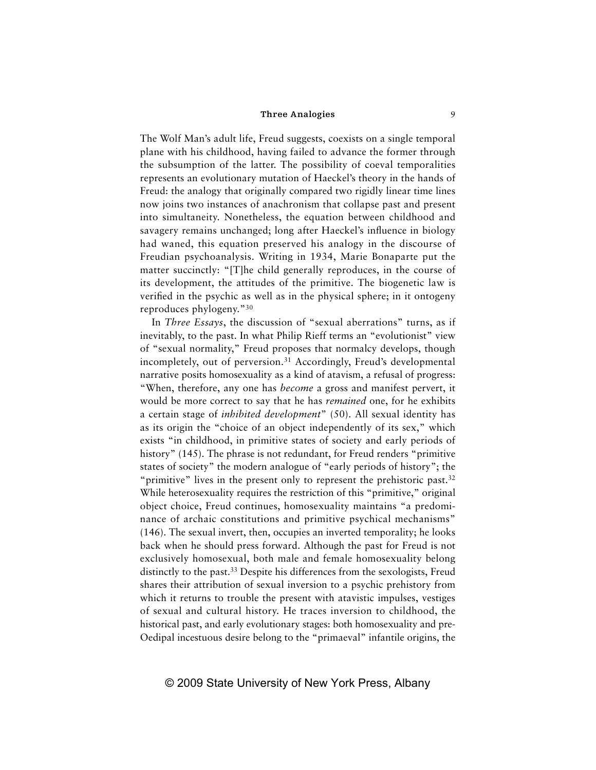The Wolf Man's adult life, Freud suggests, coexists on a single temporal plane with his childhood, having failed to advance the former through the subsumption of the latter. The possibility of coeval temporalities represents an evolutionary mutation of Haeckel's theory in the hands of Freud: the analogy that originally compared two rigidly linear time lines now joins two instances of anachronism that collapse past and present into simultaneity. Nonetheless, the equation between childhood and savagery remains unchanged; long after Haeckel's influence in biology had waned, this equation preserved his analogy in the discourse of Freudian psychoanalysis. Writing in 1934, Marie Bonaparte put the matter succinctly: "[T]he child generally reproduces, in the course of its development, the attitudes of the primitive. The biogenetic law is verified in the psychic as well as in the physical sphere; in it ontogeny reproduces phylogeny."30

In *Three Essays*, the discussion of "sexual aberrations" turns, as if inevitably, to the past. In what Philip Rieff terms an "evolutionist" view of "sexual normality," Freud proposes that normalcy develops, though incompletely, out of perversion.<sup>31</sup> Accordingly, Freud's developmental narrative posits homosexuality as a kind of atavism, a refusal of progress: "When, therefore, any one has *become* a gross and manifest pervert, it would be more correct to say that he has *remained* one, for he exhibits a certain stage of *inhibited development*" (50). All sexual identity has as its origin the "choice of an object independently of its sex," which exists "in childhood, in primitive states of society and early periods of history" (145). The phrase is not redundant, for Freud renders "primitive" states of society" the modern analogue of "early periods of history"; the "primitive" lives in the present only to represent the prehistoric past.<sup>32</sup> While heterosexuality requires the restriction of this "primitive," original object choice, Freud continues, homosexuality maintains "a predominance of archaic constitutions and primitive psychical mechanisms" (146). The sexual invert, then, occupies an inverted temporality; he looks back when he should press forward. Although the past for Freud is not exclusively homosexual, both male and female homosexuality belong distinctly to the past.<sup>33</sup> Despite his differences from the sexologists, Freud shares their attribution of sexual inversion to a psychic prehistory from which it returns to trouble the present with atavistic impulses, vestiges of sexual and cultural history. He traces inversion to childhood, the historical past, and early evolutionary stages: both homosexuality and pre-Oedipal incestuous desire belong to the "primaeval" infantile origins, the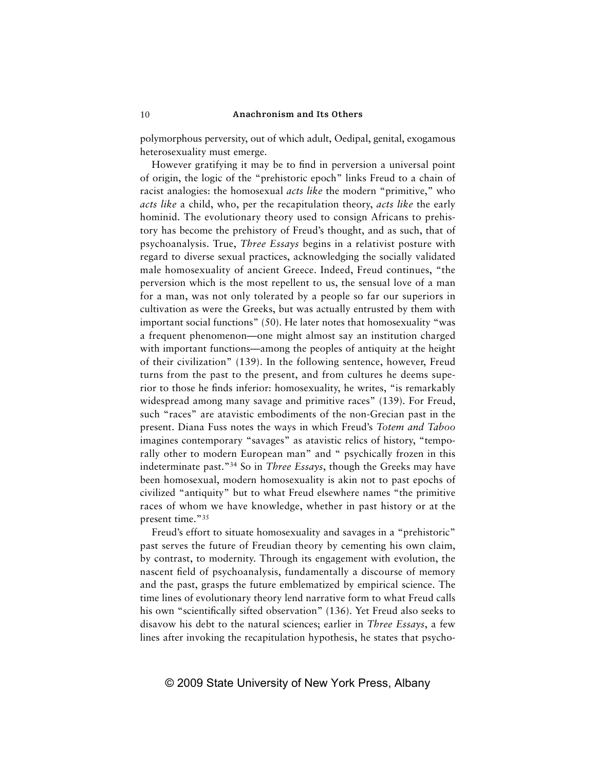polymorphous perversity, out of which adult, Oedipal, genital, exogamous heterosexuality must emerge.

However gratifying it may be to find in perversion a universal point of origin, the logic of the "prehistoric epoch" links Freud to a chain of racist analogies: the homosexual *acts like* the modern "primitive," who *acts like* a child, who, per the recapitulation theory, *acts like* the early hominid. The evolutionary theory used to consign Africans to prehistory has become the prehistory of Freud's thought, and as such, that of psychoanalysis. True, *Three Essays* begins in a relativist posture with regard to diverse sexual practices, acknowledging the socially validated male homosexuality of ancient Greece. Indeed, Freud continues, "the perversion which is the most repellent to us, the sensual love of a man for a man, was not only tolerated by a people so far our superiors in cultivation as were the Greeks, but was actually entrusted by them with important social functions" (50). He later notes that homosexuality "was a frequent phenomenon—one might almost say an institution charged with important functions—among the peoples of antiquity at the height of their civilization" (139). In the following sentence, however, Freud turns from the past to the present, and from cultures he deems superior to those he finds inferior: homosexuality, he writes, "is remarkably widespread among many savage and primitive races" (139). For Freud, such "races" are atavistic embodiments of the non-Grecian past in the present. Diana Fuss notes the ways in which Freud's *Totem and Taboo* imagines contemporary "savages" as atavistic relics of history, "temporally other to modern European man" and " psychically frozen in this indeterminate past."34 So in *Three Essays*, though the Greeks may have been homosexual, modern homosexuality is akin not to past epochs of civilized "antiquity" but to what Freud elsewhere names "the primitive races of whom we have knowledge, whether in past history or at the present time."35

Freud's effort to situate homosexuality and savages in a "prehistoric" past serves the future of Freudian theory by cementing his own claim, by contrast, to modernity. Through its engagement with evolution, the nascent field of psychoanalysis, fundamentally a discourse of memory and the past, grasps the future emblematized by empirical science. The time lines of evolutionary theory lend narrative form to what Freud calls his own "scientifically sifted observation" (136). Yet Freud also seeks to disavow his debt to the natural sciences; earlier in *Three Essays*, a few lines after invoking the recapitulation hypothesis, he states that psycho-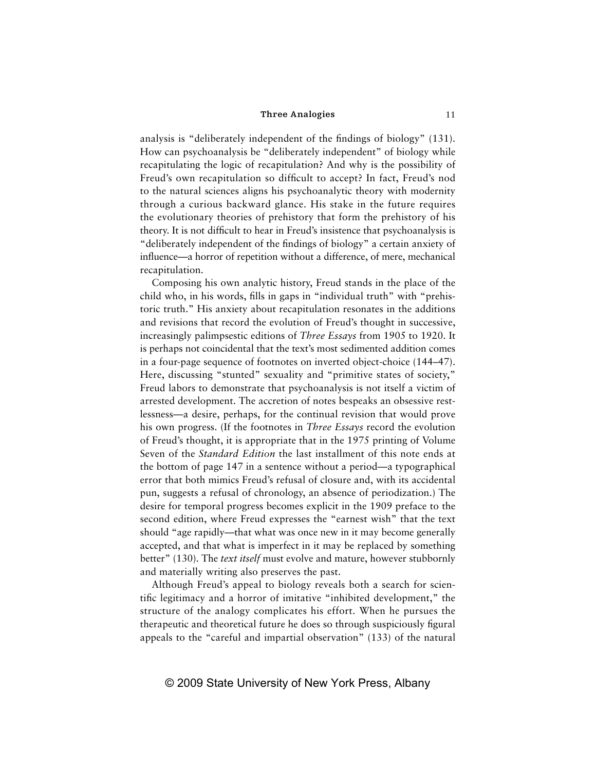analysis is "deliberately independent of the findings of biology" (131). How can psychoanalysis be "deliberately independent" of biology while recapitulating the logic of recapitulation? And why is the possibility of Freud's own recapitulation so difficult to accept? In fact, Freud's nod to the natural sciences aligns his psychoanalytic theory with modernity through a curious backward glance. His stake in the future requires the evolutionary theories of prehistory that form the prehistory of his theory. It is not difficult to hear in Freud's insistence that psychoanalysis is "deliberately independent of the findings of biology" a certain anxiety of influence—a horror of repetition without a difference, of mere, mechanical recapitulation.

Composing his own analytic history, Freud stands in the place of the child who, in his words, fills in gaps in "individual truth" with "prehistoric truth." His anxiety about recapitulation resonates in the additions and revisions that record the evolution of Freud's thought in successive, increasingly palimpsestic editions of *Three Essays* from 1905 to 1920. It is perhaps not coincidental that the text's most sedimented addition comes in a four-page sequence of footnotes on inverted object-choice (144–47). Here, discussing "stunted" sexuality and "primitive states of society," Freud labors to demonstrate that psychoanalysis is not itself a victim of arrested development. The accretion of notes bespeaks an obsessive restlessness—a desire, perhaps, for the continual revision that would prove his own progress. (If the footnotes in *Three Essays* record the evolution of Freud's thought, it is appropriate that in the 1975 printing of Volume Seven of the *Standard Edition* the last installment of this note ends at the bottom of page 147 in a sentence without a period—a typographical error that both mimics Freud's refusal of closure and, with its accidental pun, suggests a refusal of chronology, an absence of periodization.) The desire for temporal progress becomes explicit in the 1909 preface to the second edition, where Freud expresses the "earnest wish" that the text should "age rapidly—that what was once new in it may become generally accepted, and that what is imperfect in it may be replaced by something better" (130). The *text itself* must evolve and mature, however stubbornly and materially writing also preserves the past.

Although Freud's appeal to biology reveals both a search for scientific legitimacy and a horror of imitative "inhibited development," the structure of the analogy complicates his effort. When he pursues the therapeutic and theoretical future he does so through suspiciously figural appeals to the "careful and impartial observation" (133) of the natural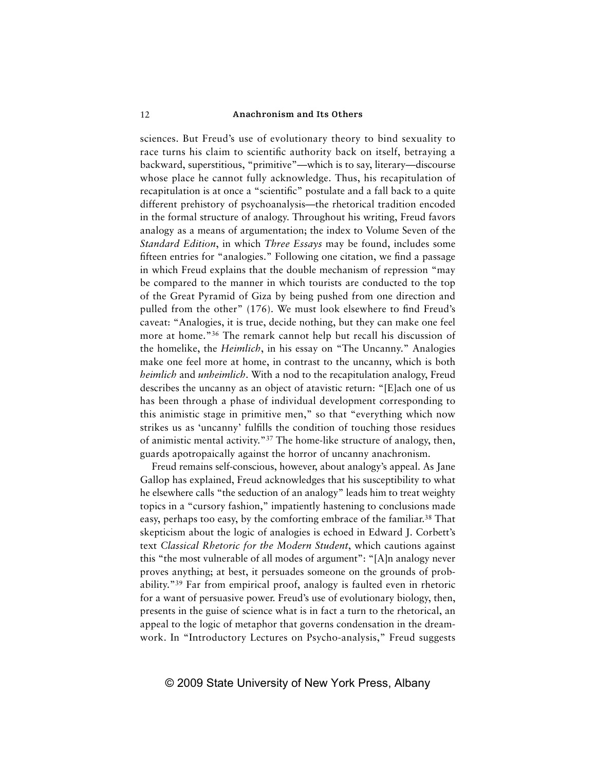sciences. But Freud's use of evolutionary theory to bind sexuality to race turns his claim to scientific authority back on itself, betraying a backward, superstitious, "primitive"—which is to say, literary—discourse whose place he cannot fully acknowledge. Thus, his recapitulation of recapitulation is at once a "scientific" postulate and a fall back to a quite different prehistory of psychoanalysis—the rhetorical tradition encoded in the formal structure of analogy. Throughout his writing, Freud favors analogy as a means of argumentation; the index to Volume Seven of the *Standard Edition*, in which *Three Essays* may be found, includes some fifteen entries for "analogies." Following one citation, we find a passage in which Freud explains that the double mechanism of repression "may be compared to the manner in which tourists are conducted to the top of the Great Pyramid of Giza by being pushed from one direction and pulled from the other" (176). We must look elsewhere to find Freud's caveat: "Analogies, it is true, decide nothing, but they can make one feel more at home."36 The remark cannot help but recall his discussion of the homelike, the *Heimlich*, in his essay on "The Uncanny." Analogies make one feel more at home, in contrast to the uncanny, which is both *heimlich* and *unheimlich*. With a nod to the recapitulation analogy, Freud describes the uncanny as an object of atavistic return: "[E]ach one of us has been through a phase of individual development corresponding to this animistic stage in primitive men," so that "everything which now strikes us as 'uncanny' fulfills the condition of touching those residues of animistic mental activity."37 The home-like structure of analogy, then, guards apotropaically against the horror of uncanny anachronism.

Freud remains self-conscious, however, about analogy's appeal. As Jane Gallop has explained, Freud acknowledges that his susceptibility to what he elsewhere calls "the seduction of an analogy" leads him to treat weighty topics in a "cursory fashion," impatiently hastening to conclusions made easy, perhaps too easy, by the comforting embrace of the familiar.<sup>38</sup> That skepticism about the logic of analogies is echoed in Edward J. Corbett's text *Classical Rhetoric for the Modern Student*, which cautions against this "the most vulnerable of all modes of argument": "[A]n analogy never proves anything; at best, it persuades someone on the grounds of probability."39 Far from empirical proof, analogy is faulted even in rhetoric for a want of persuasive power. Freud's use of evolutionary biology, then, presents in the guise of science what is in fact a turn to the rhetorical, an appeal to the logic of metaphor that governs condensation in the dreamwork. In "Introductory Lectures on Psycho-analysis," Freud suggests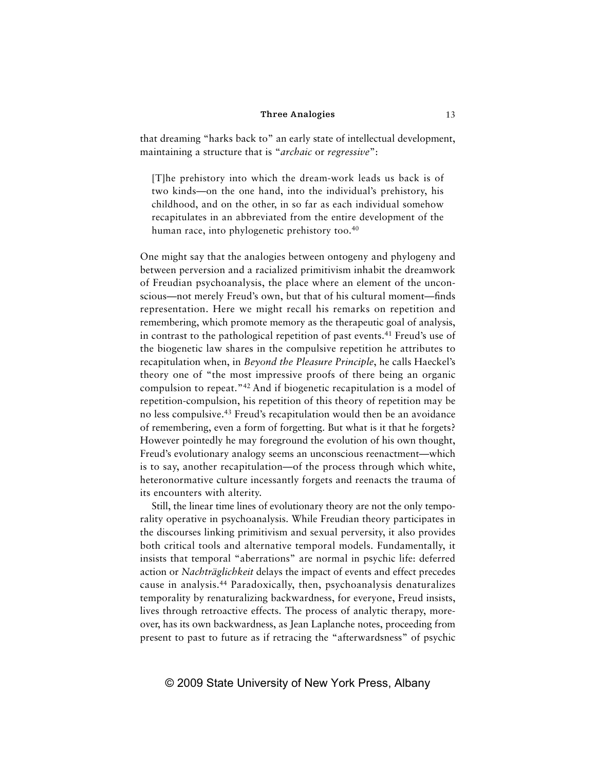that dreaming "harks back to" an early state of intellectual development, maintaining a structure that is "*archaic* or *regressive*":

[T]he prehistory into which the dream-work leads us back is of two kinds—on the one hand, into the individual's prehistory, his childhood, and on the other, in so far as each individual somehow recapitulates in an abbreviated from the entire development of the human race, into phylogenetic prehistory too.<sup>40</sup>

One might say that the analogies between ontogeny and phylogeny and between perversion and a racialized primitivism inhabit the dreamwork of Freudian psychoanalysis, the place where an element of the unconscious—not merely Freud's own, but that of his cultural moment—finds representation. Here we might recall his remarks on repetition and remembering, which promote memory as the therapeutic goal of analysis, in contrast to the pathological repetition of past events.<sup>41</sup> Freud's use of the biogenetic law shares in the compulsive repetition he attributes to recapitulation when, in *Beyond the Pleasure Principle*, he calls Haeckel's theory one of "the most impressive proofs of there being an organic compulsion to repeat."42 And if biogenetic recapitulation is a model of repetition-compulsion, his repetition of this theory of repetition may be no less compulsive.43 Freud's recapitulation would then be an avoidance of remembering, even a form of forgetting. But what is it that he forgets? However pointedly he may foreground the evolution of his own thought, Freud's evolutionary analogy seems an unconscious reenactment—which is to say, another recapitulation—of the process through which white, heteronormative culture incessantly forgets and reenacts the trauma of its encounters with alterity.

Still, the linear time lines of evolutionary theory are not the only temporality operative in psychoanalysis. While Freudian theory participates in the discourses linking primitivism and sexual perversity, it also provides both critical tools and alternative temporal models. Fundamentally, it insists that temporal "aberrations" are normal in psychic life: deferred action or *Nachträglichkeit* delays the impact of events and effect precedes cause in analysis.44 Paradoxically, then, psychoanalysis denaturalizes temporality by renaturalizing backwardness, for everyone, Freud insists, lives through retroactive effects. The process of analytic therapy, moreover, has its own backwardness, as Jean Laplanche notes, proceeding from present to past to future as if retracing the "afterwardsness" of psychic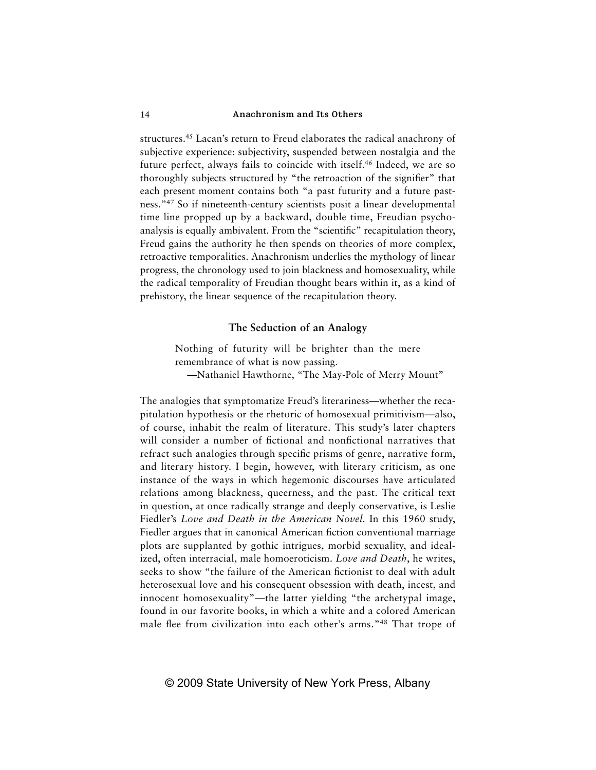structures.45 Lacan's return to Freud elaborates the radical anachrony of subjective experience: subjectivity, suspended between nostalgia and the future perfect, always fails to coincide with itself.<sup>46</sup> Indeed, we are so thoroughly subjects structured by "the retroaction of the signifier" that each present moment contains both "a past futurity and a future pastness."47 So if nineteenth-century scientists posit a linear developmental time line propped up by a backward, double time, Freudian psychoanalysis is equally ambivalent. From the "scientific" recapitulation theory, Freud gains the authority he then spends on theories of more complex, retroactive temporalities. Anachronism underlies the mythology of linear progress, the chronology used to join blackness and homosexuality, while the radical temporality of Freudian thought bears within it, as a kind of prehistory, the linear sequence of the recapitulation theory.

### **The Seduction of an Analogy**

Nothing of futurity will be brighter than the mere remembrance of what is now passing. —Nathaniel Hawthorne, "The May-Pole of Merry Mount"

The analogies that symptomatize Freud's literariness—whether the recapitulation hypothesis or the rhetoric of homosexual primitivism—also, of course, inhabit the realm of literature. This study's later chapters will consider a number of fictional and nonfictional narratives that refract such analogies through specific prisms of genre, narrative form, and literary history. I begin, however, with literary criticism, as one instance of the ways in which hegemonic discourses have articulated relations among blackness, queerness, and the past. The critical text in question, at once radically strange and deeply conservative, is Leslie Fiedler's *Love and Death in the American Novel.* In this 1960 study, Fiedler argues that in canonical American fiction conventional marriage plots are supplanted by gothic intrigues, morbid sexuality, and idealized, often interracial, male homoeroticism. *Love and Death*, he writes, seeks to show "the failure of the American fictionist to deal with adult heterosexual love and his consequent obsession with death, incest, and innocent homosexuality"—the latter yielding "the archetypal image, found in our favorite books, in which a white and a colored American male flee from civilization into each other's arms."<sup>48</sup> That trope of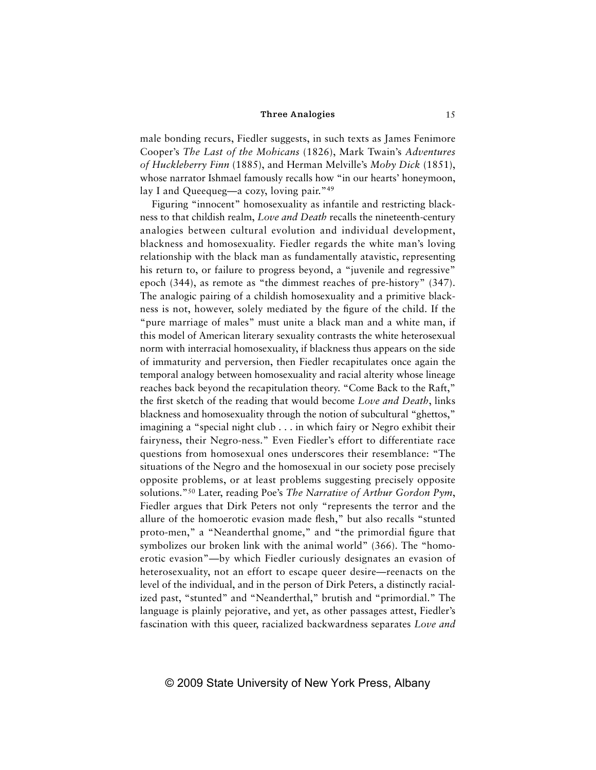male bonding recurs, Fiedler suggests, in such texts as James Fenimore Cooper's *The Last of the Mohicans* (1826), Mark Twain's *Adventures of Huckleberry Finn* (1885), and Herman Melville's *Moby Dick* (1851), whose narrator Ishmael famously recalls how "in our hearts' honeymoon, lay I and Queequeg—a cozy, loving pair."<sup>49</sup>

Figuring "innocent" homosexuality as infantile and restricting blackness to that childish realm, *Love and Death* recalls the nineteenth-century analogies between cultural evolution and individual development, blackness and homosexuality. Fiedler regards the white man's loving relationship with the black man as fundamentally atavistic, representing his return to, or failure to progress beyond, a "juvenile and regressive" epoch (344), as remote as "the dimmest reaches of pre-history" (347). The analogic pairing of a childish homosexuality and a primitive blackness is not, however, solely mediated by the figure of the child. If the "pure marriage of males" must unite a black man and a white man, if this model of American literary sexuality contrasts the white heterosexual norm with interracial homosexuality, if blackness thus appears on the side of immaturity and perversion, then Fiedler recapitulates once again the temporal analogy between homosexuality and racial alterity whose lineage reaches back beyond the recapitulation theory. "Come Back to the Raft," the first sketch of the reading that would become *Love and Death*, links blackness and homosexuality through the notion of subcultural "ghettos," imagining a "special night club . . . in which fairy or Negro exhibit their fairyness, their Negro-ness." Even Fiedler's effort to differentiate race questions from homosexual ones underscores their resemblance: "The situations of the Negro and the homosexual in our society pose precisely opposite problems, or at least problems suggesting precisely opposite solutions."50 Later, reading Poe's *The Narrative of Arthur Gordon Pym*, Fiedler argues that Dirk Peters not only "represents the terror and the allure of the homoerotic evasion made flesh," but also recalls "stunted proto-men," a "Neanderthal gnome," and "the primordial figure that symbolizes our broken link with the animal world" (366). The "homoerotic evasion"—by which Fiedler curiously designates an evasion of heterosexuality, not an effort to escape queer desire—reenacts on the level of the individual, and in the person of Dirk Peters, a distinctly racialized past, "stunted" and "Neanderthal," brutish and "primordial." The language is plainly pejorative, and yet, as other passages attest, Fiedler's fascination with this queer, racialized backwardness separates *Love and*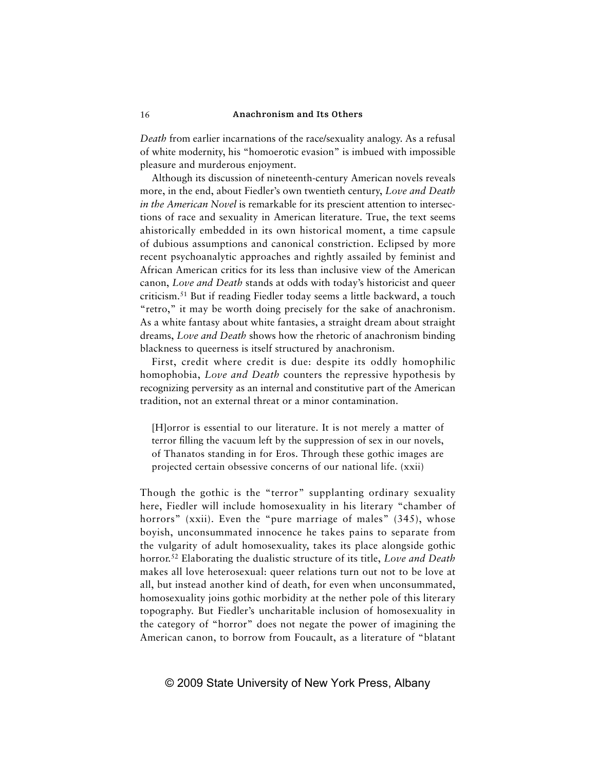*Death* from earlier incarnations of the race/sexuality analogy. As a refusal of white modernity, his "homoerotic evasion" is imbued with impossible pleasure and murderous enjoyment.

Although its discussion of nineteenth-century American novels reveals more, in the end, about Fiedler's own twentieth century, *Love and Death in the American Novel* is remarkable for its prescient attention to intersections of race and sexuality in American literature. True, the text seems ahistorically embedded in its own historical moment, a time capsule of dubious assumptions and canonical constriction. Eclipsed by more recent psychoanalytic approaches and rightly assailed by feminist and African American critics for its less than inclusive view of the American canon, *Love and Death* stands at odds with today's historicist and queer criticism.51 But if reading Fiedler today seems a little backward, a touch "retro," it may be worth doing precisely for the sake of anachronism. As a white fantasy about white fantasies, a straight dream about straight dreams, *Love and Death* shows how the rhetoric of anachronism binding blackness to queerness is itself structured by anachronism.

First, credit where credit is due: despite its oddly homophilic homophobia, *Love and Death* counters the repressive hypothesis by recognizing perversity as an internal and constitutive part of the American tradition, not an external threat or a minor contamination.

[H]orror is essential to our literature. It is not merely a matter of terror filling the vacuum left by the suppression of sex in our novels, of Thanatos standing in for Eros. Through these gothic images are projected certain obsessive concerns of our national life. (xxii)

Though the gothic is the "terror" supplanting ordinary sexuality here, Fiedler will include homosexuality in his literary "chamber of horrors" (xxii). Even the "pure marriage of males" (345), whose boyish, unconsummated innocence he takes pains to separate from the vulgarity of adult homosexuality, takes its place alongside gothic horror.52 Elaborating the dualistic structure of its title, *Love and Death* makes all love heterosexual: queer relations turn out not to be love at all, but instead another kind of death, for even when unconsummated, homosexuality joins gothic morbidity at the nether pole of this literary topography. But Fiedler's uncharitable inclusion of homosexuality in the category of "horror" does not negate the power of imagining the American canon, to borrow from Foucault, as a literature of "blatant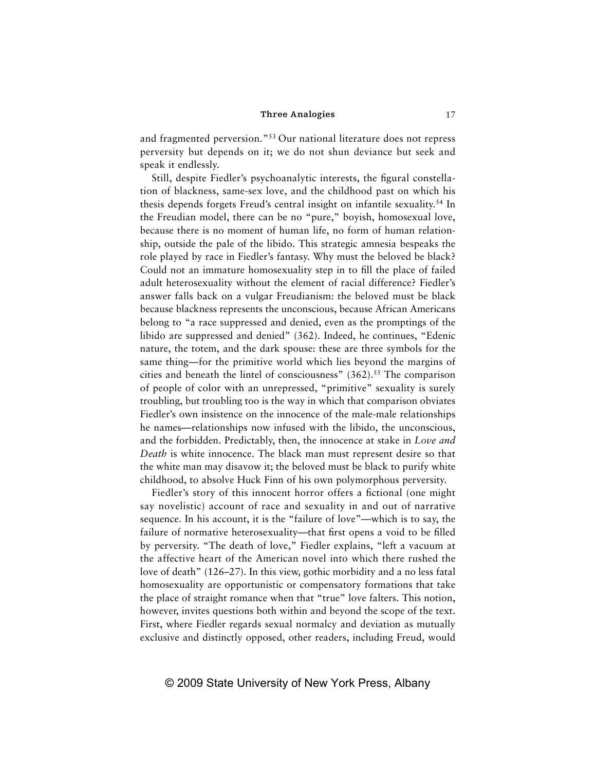and fragmented perversion."53 Our national literature does not repress perversity but depends on it; we do not shun deviance but seek and speak it endlessly.

Still, despite Fiedler's psychoanalytic interests, the figural constellation of blackness, same-sex love, and the childhood past on which his thesis depends forgets Freud's central insight on infantile sexuality.54 In the Freudian model, there can be no "pure," boyish, homosexual love, because there is no moment of human life, no form of human relationship, outside the pale of the libido. This strategic amnesia bespeaks the role played by race in Fiedler's fantasy. Why must the beloved be black? Could not an immature homosexuality step in to fill the place of failed adult heterosexuality without the element of racial difference? Fiedler's answer falls back on a vulgar Freudianism: the beloved must be black because blackness represents the unconscious, because African Americans belong to "a race suppressed and denied, even as the promptings of the libido are suppressed and denied" (362). Indeed, he continues, "Edenic nature, the totem, and the dark spouse: these are three symbols for the same thing—for the primitive world which lies beyond the margins of cities and beneath the lintel of consciousness"  $(362)$ <sup>55</sup>. The comparison of people of color with an unrepressed, "primitive" sexuality is surely troubling, but troubling too is the way in which that comparison obviates Fiedler's own insistence on the innocence of the male-male relationships he names—relationships now infused with the libido, the unconscious, and the forbidden. Predictably, then, the innocence at stake in *Love and Death* is white innocence. The black man must represent desire so that the white man may disavow it; the beloved must be black to purify white childhood, to absolve Huck Finn of his own polymorphous perversity.

Fiedler's story of this innocent horror offers a fictional (one might say novelistic) account of race and sexuality in and out of narrative sequence. In his account, it is the "failure of love"—which is to say, the failure of normative heterosexuality—that first opens a void to be filled by perversity. "The death of love," Fiedler explains, "left a vacuum at the affective heart of the American novel into which there rushed the love of death" (126–27). In this view, gothic morbidity and a no less fatal homosexuality are opportunistic or compensatory formations that take the place of straight romance when that "true" love falters. This notion, however, invites questions both within and beyond the scope of the text. First, where Fiedler regards sexual normalcy and deviation as mutually exclusive and distinctly opposed, other readers, including Freud, would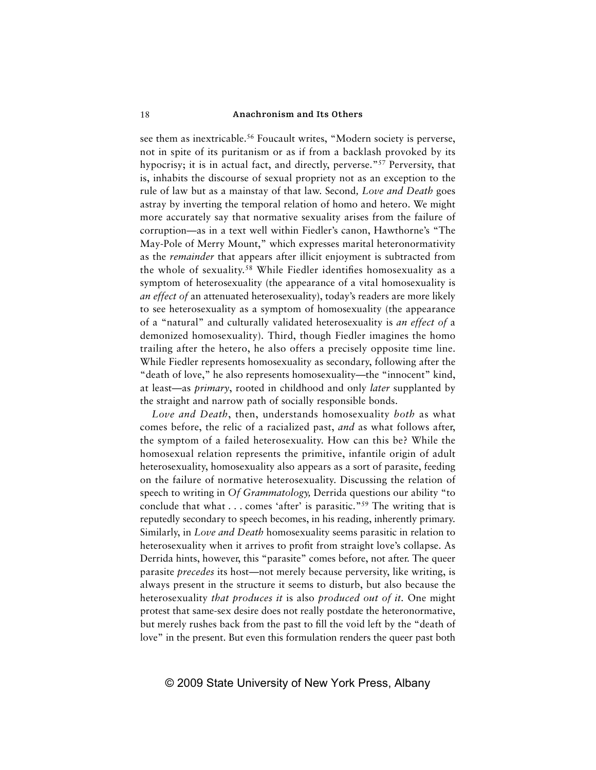see them as inextricable.<sup>56</sup> Foucault writes, "Modern society is perverse, not in spite of its puritanism or as if from a backlash provoked by its hypocrisy; it is in actual fact, and directly, perverse."57 Perversity, that is, inhabits the discourse of sexual propriety not as an exception to the rule of law but as a mainstay of that law. Second*, Love and Death* goes astray by inverting the temporal relation of homo and hetero. We might more accurately say that normative sexuality arises from the failure of corruption—as in a text well within Fiedler's canon, Hawthorne's "The May-Pole of Merry Mount," which expresses marital heteronormativity as the *remainder* that appears after illicit enjoyment is subtracted from the whole of sexuality.<sup>58</sup> While Fiedler identifies homosexuality as a symptom of heterosexuality (the appearance of a vital homosexuality is *an effect of* an attenuated heterosexuality), today's readers are more likely to see heterosexuality as a symptom of homosexuality (the appearance of a "natural" and culturally validated heterosexuality is *an effect of* a demonized homosexuality)*.* Third, though Fiedler imagines the homo trailing after the hetero, he also offers a precisely opposite time line. While Fiedler represents homosexuality as secondary, following after the "death of love," he also represents homosexuality—the "innocent" kind, at least—as *primary*, rooted in childhood and only *later* supplanted by the straight and narrow path of socially responsible bonds.

*Love and Death*, then, understands homosexuality *both* as what comes before, the relic of a racialized past, *and* as what follows after, the symptom of a failed heterosexuality. How can this be? While the homosexual relation represents the primitive, infantile origin of adult heterosexuality, homosexuality also appears as a sort of parasite, feeding on the failure of normative heterosexuality. Discussing the relation of speech to writing in *Of Grammatology,* Derrida questions our ability "to conclude that what  $\ldots$  comes 'after' is parasitic."<sup>59</sup> The writing that is reputedly secondary to speech becomes, in his reading, inherently primary. Similarly, in *Love and Death* homosexuality seems parasitic in relation to heterosexuality when it arrives to profit from straight love's collapse. As Derrida hints, however, this "parasite" comes before, not after. The queer parasite *precedes* its host—not merely because perversity, like writing, is always present in the structure it seems to disturb, but also because the heterosexuality *that produces it* is also *produced out of it.* One might protest that same-sex desire does not really postdate the heteronormative, but merely rushes back from the past to fill the void left by the "death of love" in the present. But even this formulation renders the queer past both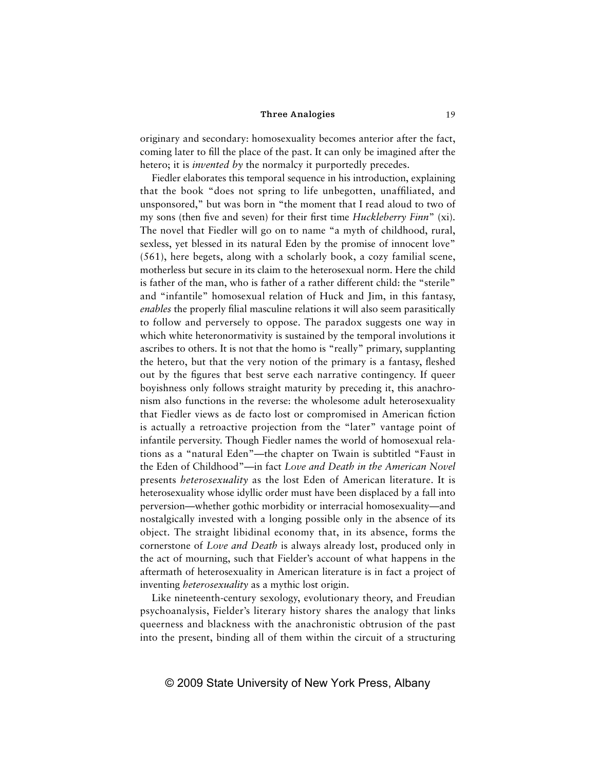originary and secondary: homosexuality becomes anterior after the fact, coming later to fill the place of the past. It can only be imagined after the hetero; it is *invented by* the normalcy it purportedly precedes.

Fiedler elaborates this temporal sequence in his introduction, explaining that the book "does not spring to life unbegotten, unaffiliated, and unsponsored," but was born in "the moment that I read aloud to two of my sons (then five and seven) for their first time *Huckleberry Finn*" (xi). The novel that Fiedler will go on to name "a myth of childhood, rural, sexless, yet blessed in its natural Eden by the promise of innocent love" (561), here begets, along with a scholarly book, a cozy familial scene, motherless but secure in its claim to the heterosexual norm. Here the child is father of the man, who is father of a rather different child: the "sterile" and "infantile" homosexual relation of Huck and Jim, in this fantasy, *enables* the properly filial masculine relations it will also seem parasitically to follow and perversely to oppose. The paradox suggests one way in which white heteronormativity is sustained by the temporal involutions it ascribes to others. It is not that the homo is "really" primary, supplanting the hetero, but that the very notion of the primary is a fantasy, fleshed out by the figures that best serve each narrative contingency. If queer boyishness only follows straight maturity by preceding it, this anachronism also functions in the reverse: the wholesome adult heterosexuality that Fiedler views as de facto lost or compromised in American fiction is actually a retroactive projection from the "later" vantage point of infantile perversity. Though Fiedler names the world of homosexual relations as a "natural Eden"—the chapter on Twain is subtitled "Faust in the Eden of Childhood"—in fact *Love and Death in the American Novel*  presents *heterosexuality* as the lost Eden of American literature. It is heterosexuality whose idyllic order must have been displaced by a fall into perversion—whether gothic morbidity or interracial homosexuality—and nostalgically invested with a longing possible only in the absence of its object. The straight libidinal economy that, in its absence, forms the cornerstone of *Love and Death* is always already lost, produced only in the act of mourning, such that Fielder's account of what happens in the aftermath of heterosexuality in American literature is in fact a project of inventing *heterosexuality* as a mythic lost origin.

Like nineteenth-century sexology, evolutionary theory, and Freudian psychoanalysis, Fielder's literary history shares the analogy that links queerness and blackness with the anachronistic obtrusion of the past into the present, binding all of them within the circuit of a structuring